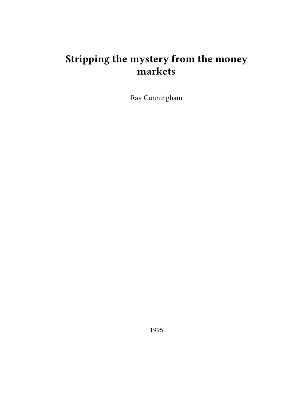## **Stripping the mystery from the money markets**

Ray Cunningham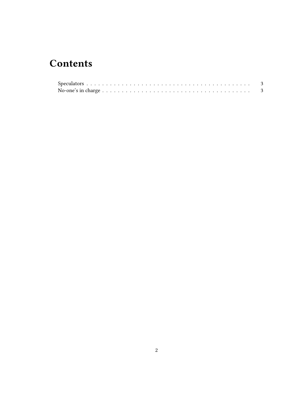## **Contents**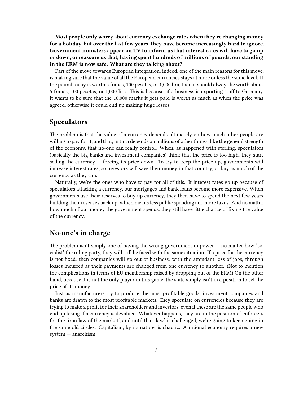**Most people only worry about currency exchange rates when they're changing money for a holiday, but over the last few years, they have become increasingly hard to ignore. Government ministers appear on TV to inform us that interest rates will have to go up or down, or reassure us that, having spent hundreds of millions of pounds, our standing in the ERM is now safe. What are they talking about?**

Part of the move towards European integration, indeed, one of the main reasons for this move, is making sure that the value of all the European currencies stays at more or less the same level. If the pound today is worth 5 francs, 100 pesetas, or 1,000 lira, then it should always be worth about 5 francs, 100 pesetas, or 1,000 lira. This is because, if a business is exporting stuff to Germany, it wants to be sure that the 10,000 marks it gets paid is worth as much as when the price was agreed, otherwise it could end up making huge losses.

## <span id="page-2-0"></span>**Speculators**

The problem is that the value of a currency depends ultimately on how much other people are willing to pay for it, and that, in turn depends on millions of other things, like the general strength of the economy, that no-one can really control. When, as happened with sterling, speculators (basically the big banks and investment companies) think that the price is too high, they start selling the currency  $-$  forcing its price down. To try to keep the price up, governments will increase interest rates, so investors will save their money in that country, or buy as much of the currency as they can.

Naturally, we're the ones who have to pay for all of this. If interest rates go up because of speculators attacking a currency, our mortgages and bank loans become more expensive. When governments use their reserves to buy up currency, they then have to spend the next few years building their reserves back up, which means less public spending and more taxes. And no matter how much of our money the government spends, they still have little chance of fixing the value of the currency.

## <span id="page-2-1"></span>**No-one's in charge**

The problem isn't simply one of having the wrong government in power — no matter how 'socialist' the ruling party, they will still be faced with the same situation. If a price for the currency is not fixed, then companies will go out of business, with the attendant loss of jobs, through losses incurred as their payments are changed from one currency to another. (Not to mention the complications in terms of EU membership raised by dropping out of the ERM) On the other hand, because it is not the only player in this game, the state simply isn't in a position to set the price of its money.

Just as manufacturers try to produce the most profitable goods, investment companies and banks are drawn to the most profitable markets. They speculate on currencies because they are trying to make a profit for their shareholders and investors, even if these are the same people who end up losing if a currency is devalued. Whatever happens, they are in the position of enforcers for the 'iron law of the market', and until that 'law' is challenged, we're going to keep going in the same old circles. Capitalism, by its nature, is chaotic. A rational economy requires a new system — anarchism.